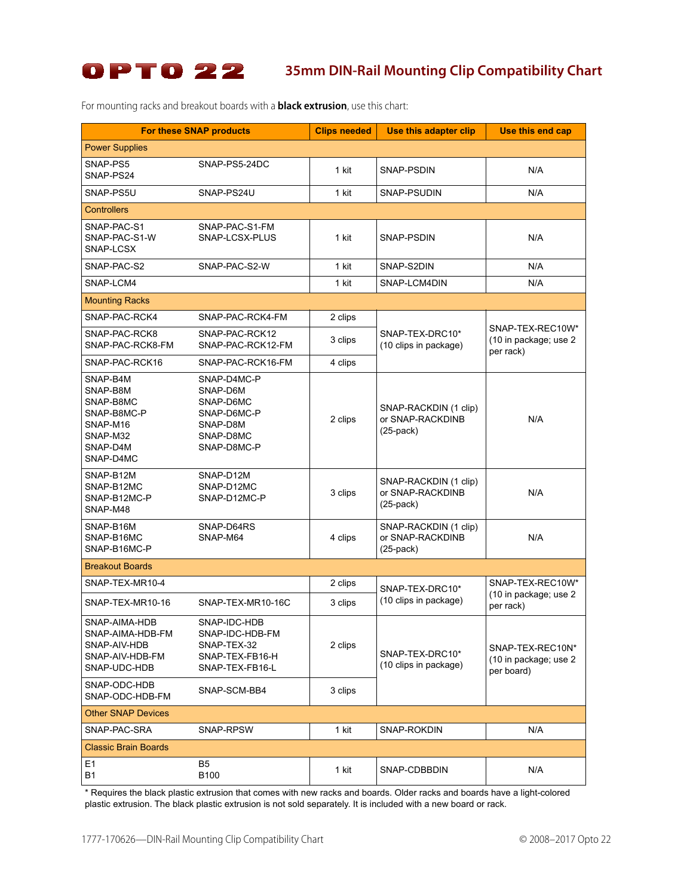

For mounting racks and breakout boards with a **black extrusion**, use this chart:

|                                                                                                   | <b>For these SNAP products</b>                                                              | <b>Clips needed</b> | Use this adapter clip                                        | Use this end cap                                        |
|---------------------------------------------------------------------------------------------------|---------------------------------------------------------------------------------------------|---------------------|--------------------------------------------------------------|---------------------------------------------------------|
| <b>Power Supplies</b>                                                                             |                                                                                             |                     |                                                              |                                                         |
| SNAP-PS5<br>SNAP-PS24                                                                             | SNAP-PS5-24DC                                                                               | 1 kit               | SNAP-PSDIN                                                   | N/A                                                     |
| SNAP-PS5U                                                                                         | SNAP-PS24U                                                                                  | 1 kit               | SNAP-PSUDIN                                                  | N/A                                                     |
| <b>Controllers</b>                                                                                |                                                                                             |                     |                                                              |                                                         |
| SNAP-PAC-S1<br>SNAP-PAC-S1-W<br>SNAP-LCSX                                                         | SNAP-PAC-S1-FM<br>SNAP-LCSX-PLUS                                                            | 1 kit               | SNAP-PSDIN                                                   | N/A                                                     |
| SNAP-PAC-S2                                                                                       | SNAP-PAC-S2-W                                                                               | 1 kit               | SNAP-S2DIN                                                   | N/A                                                     |
| SNAP-LCM4                                                                                         |                                                                                             | 1 kit               | SNAP-LCM4DIN                                                 | N/A                                                     |
| <b>Mounting Racks</b>                                                                             |                                                                                             |                     |                                                              |                                                         |
| SNAP-PAC-RCK4                                                                                     | SNAP-PAC-RCK4-FM                                                                            | 2 clips             | SNAP-TEX-DRC10*<br>(10 clips in package)                     | SNAP-TEX-REC10W*<br>(10 in package; use 2<br>per rack)  |
| SNAP-PAC-RCK8<br>SNAP-PAC-RCK8-FM                                                                 | SNAP-PAC-RCK12<br>SNAP-PAC-RCK12-FM                                                         | 3 clips             |                                                              |                                                         |
| SNAP-PAC-RCK16                                                                                    | SNAP-PAC-RCK16-FM                                                                           | 4 clips             |                                                              |                                                         |
| SNAP-B4M<br>SNAP-B8M<br>SNAP-B8MC<br>SNAP-B8MC-P<br>SNAP-M16<br>SNAP-M32<br>SNAP-D4M<br>SNAP-D4MC | SNAP-D4MC-P<br>SNAP-D6M<br>SNAP-D6MC<br>SNAP-D6MC-P<br>SNAP-D8M<br>SNAP-D8MC<br>SNAP-D8MC-P | 2 clips             | SNAP-RACKDIN (1 clip)<br>or SNAP-RACKDINB<br>$(25$ -pack $)$ | N/A                                                     |
| SNAP-B12M<br>SNAP-B12MC<br>SNAP-B12MC-P<br>SNAP-M48                                               | SNAP-D12M<br>SNAP-D12MC<br>SNAP-D12MC-P                                                     | 3 clips             | SNAP-RACKDIN (1 clip)<br>or SNAP-RACKDINB<br>$(25$ -pack $)$ | N/A                                                     |
| SNAP-B16M<br>SNAP-B16MC<br>SNAP-B16MC-P                                                           | SNAP-D64RS<br>SNAP-M64                                                                      | 4 clips             | SNAP-RACKDIN (1 clip)<br>or SNAP-RACKDINB<br>$(25$ -pack $)$ | N/A                                                     |
| <b>Breakout Boards</b>                                                                            |                                                                                             |                     |                                                              |                                                         |
| SNAP-TEX-MR10-4                                                                                   |                                                                                             | 2 clips             | SNAP-TEX-DRC10*<br>(10 clips in package)                     | SNAP-TEX-REC10W*<br>(10 in package; use 2<br>per rack)  |
| SNAP-TEX-MR10-16                                                                                  | SNAP-TEX-MR10-16C                                                                           | 3 clips             |                                                              |                                                         |
| SNAP-AIMA-HDB<br>SNAP-AIMA-HDB-FM<br>SNAP-AIV-HDB<br>SNAP-AIV-HDB-FM<br>SNAP-UDC-HDB              | SNAP-IDC-HDB<br>SNAP-IDC-HDB-FM<br>SNAP-TEX-32<br>SNAP-TEX-FB16-H<br>SNAP-TEX-FB16-L        | 2 clips             | SNAP-TEX-DRC10*<br>(10 clips in package)                     | SNAP-TEX-REC10N*<br>(10 in package; use 2<br>per board) |
| SNAP-ODC-HDB<br>SNAP-ODC-HDB-FM                                                                   | SNAP-SCM-BB4                                                                                | 3 clips             |                                                              |                                                         |
| <b>Other SNAP Devices</b>                                                                         |                                                                                             |                     |                                                              |                                                         |
| SNAP-PAC-SRA                                                                                      | SNAP-RPSW                                                                                   | 1 kit               | SNAP-ROKDIN                                                  | N/A                                                     |
| <b>Classic Brain Boards</b>                                                                       |                                                                                             |                     |                                                              |                                                         |
| E1<br><b>B1</b>                                                                                   | B <sub>5</sub><br>B100                                                                      | 1 kit               | SNAP-CDBBDIN                                                 | N/A                                                     |

\* Requires the black plastic extrusion that comes with new racks and boards. Older racks and boards have a light-colored plastic extrusion. The black plastic extrusion is not sold separately. It is included with a new board or rack.